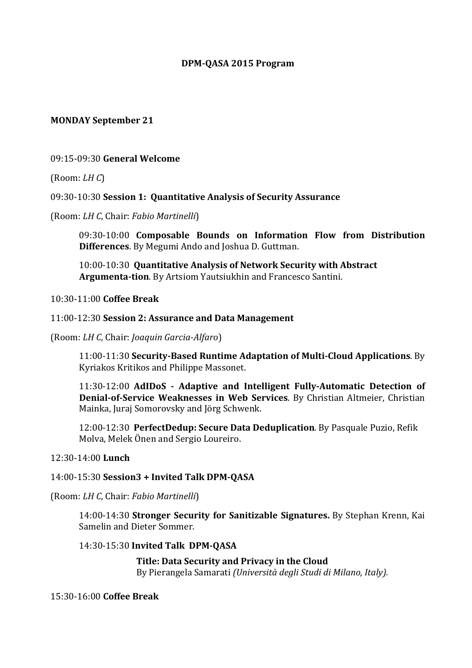### **DPM-QASA 2015 Program**

### **MONDAY September 21**

### 09:15-09:30 **General Welcome**

(Room: *LH C*)

### 09:30-10:30 **Session 1: Quantitative Analysis of Security Assurance**

(Room: *LH C*, Chair: *Fabio Martinelli*)

09:30-10:00 **Composable Bounds on Information Flow from Distribution Differences**. By Megumi Ando and Joshua D. Guttman.

10:00-10:30 **Quantitative Analysis of Network Security with Abstract**  Argumenta-tion. By Artsiom Yautsiukhin and Francesco Santini.

10:30-11:00 **Coffee Break**

#### 11:00-12:30 **Session 2: Assurance and Data Management**

(Room: *LH C*, Chair: *Joaquin Garcia-Alfaro*)

11:00-11:30 **Security-Based Runtime Adaptation of Multi-Cloud Applications**. By Kyriakos Kritikos and Philippe Massonet.

11:30-12:00 **AdIDoS - Adaptive and Intelligent Fully-Automatic Detection of Denial-of-Service Weaknesses in Web Services**. By Christian Altmeier, Christian Mainka, Juraj Somorovsky and Jörg Schwenk.

12:00-12:30 **PerfectDedup: Secure Data Deduplication**. By Pasquale Puzio, Refik Molva, Melek Önen and Sergio Loureiro.

### 12:30-14:00 **Lunch**

### 14:00-15:30 **Session3 + Invited Talk DPM-QASA**

(Room: *LH C*, Chair: *Fabio Martinelli*)

14:00-14:30 **Stronger Security for Sanitizable Signatures.** By Stephan Krenn, Kai Samelin and Dieter Sommer.

### 14:30-15:30 **Invited Talk DPM-QASA**

**Title: Data Security and Privacy in the Cloud** By Pierangela Samarati *(Università degli Studi di Milano, Italy).* 

# 15:30-16:00 **Coffee Break**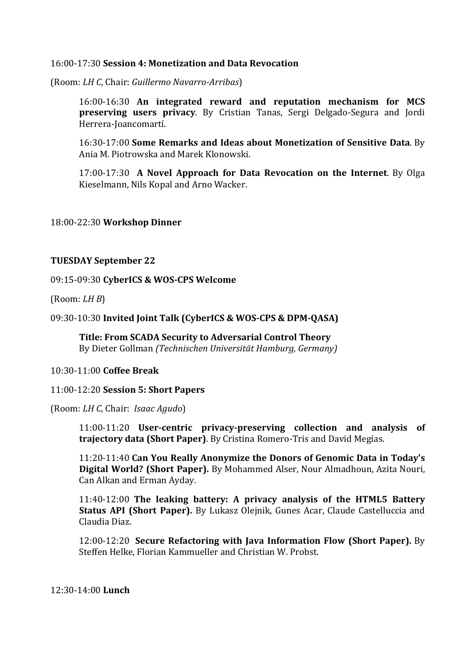### 16:00-17:30 **Session 4: Monetization and Data Revocation**

(Room: *LH C*, Chair: *Guillermo Navarro-Arribas*)

16:00-16:30 **An integrated reward and reputation mechanism for MCS preserving users privacy**. By Cristian Tanas, Sergi Delgado-Segura and Jordi Herrera-Joancomartí. 

16:30-17:00 **Some Remarks and Ideas about Monetization of Sensitive Data**. By Ania M. Piotrowska and Marek Klonowski. 

17:00-17:30 **A Novel Approach for Data Revocation on the Internet**. By Olga Kieselmann, Nils Kopal and Arno Wacker.

18:00-22:30 **Workshop Dinner**

# **TUESDAY September 22**

### 09:15-09:30 **CyberICS & WOS-CPS Welcome**

 $(Room: LHB)$ 

### 09:30-10:30 **Invited Joint Talk (CyberICS & WOS-CPS & DPM-QASA)**

**Title: From SCADA Security to Adversarial Control Theory** By Dieter Gollman *(Technischen Universität Hamburg, Germany)* 

### 10:30-11:00 **Coffee Break**

### 11:00-12:20 **Session 5: Short Papers**

(Room: *LH C*, Chair: *Isaac Agudo*)

11:00-11:20 **User-centric privacy-preserving collection and analysis of trajectory data (Short Paper)**. By Cristina Romero-Tris and David Megías.

11:20-11:40 **Can You Really Anonymize the Donors of Genomic Data in Today's Digital World? (Short Paper).** By Mohammed Alser, Nour Almadhoun, Azita Nouri, Can Alkan and Erman Ayday.

11:40-12:00 The leaking battery: A privacy analysis of the HTML5 Battery **Status API (Short Paper).** By Lukasz Olejnik, Gunes Acar, Claude Castelluccia and Claudia Diaz.

12:00-12:20 **Secure Refactoring with Java Information Flow (Short Paper).** By Steffen Helke, Florian Kammueller and Christian W. Probst.

12:30-14:00 **Lunch**